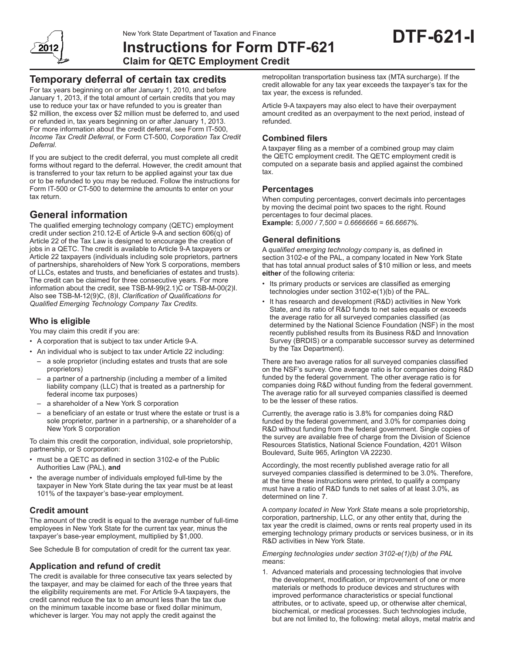# **Instructions for Form DTF-621 Claim for QETC Employment Credit**

# **Temporary deferral of certain tax credits**

For tax years beginning on or after January 1, 2010, and before January 1, 2013, if the total amount of certain credits that you may use to reduce your tax or have refunded to you is greater than \$2 million, the excess over \$2 million must be deferred to, and used or refunded in, tax years beginning on or after January 1, 2013. For more information about the credit deferral, see Form IT-500, *Income Tax Credit Deferral*, or Form CT-500, *Corporation Tax Credit Deferral*.

If you are subject to the credit deferral, you must complete all credit forms without regard to the deferral. However, the credit amount that is transferred to your tax return to be applied against your tax due or to be refunded to you may be reduced. Follow the instructions for Form IT-500 or CT-500 to determine the amounts to enter on your tax return.

# **General information**

The qualified emerging technology company (QETC) employment credit under section 210.12-E of Article 9‑A and section 606(q) of Article 22 of the Tax Law is designed to encourage the creation of jobs in a QETC. The credit is available to Article 9‑A taxpayers or Article 22 taxpayers (individuals including sole proprietors, partners of partnerships, shareholders of New York S corporations, members of LLCs, estates and trusts, and beneficiaries of estates and trusts). The credit can be claimed for three consecutive years. For more information about the credit, see TSB‑M‑99(2.1)C or TSB‑M‑00(2)I. Also see TSB-M-12(9)C, (8)I, *Clarification of Qualifications for Qualified Emerging Technology Company Tax Credits*.

# **Who is eligible**

You may claim this credit if you are:

- A corporation that is subject to tax under Article 9‑A.
- An individual who is subject to tax under Article 22 including:
- a sole proprietor (including estates and trusts that are sole proprietors)
- a partner of a partnership (including a member of a limited liability company (LLC) that is treated as a partnership for federal income tax purposes)
- a shareholder of a New York S corporation
- a beneficiary of an estate or trust where the estate or trust is a sole proprietor, partner in a partnership, or a shareholder of a New York S corporation

To claim this credit the corporation, individual, sole proprietorship, partnership, or S corporation:

- must be a QETC as defined in section 3102-e of the Public Authorities Law (PAL), **and**
- the average number of individuals employed full-time by the taxpayer in New York State during the tax year must be at least 101% of the taxpayer's base-year employment.

# **Credit amount**

The amount of the credit is equal to the average number of full-time employees in New York State for the current tax year, minus the taxpayer's base-year employment, multiplied by \$1,000.

See Schedule B for computation of credit for the current tax year.

# **Application and refund of credit**

The credit is available for three consecutive tax years selected by the taxpayer, and may be claimed for each of the three years that the eligibility requirements are met. For Article 9‑A taxpayers, the credit cannot reduce the tax to an amount less than the tax due on the minimum taxable income base or fixed dollar minimum, whichever is larger. You may not apply the credit against the

metropolitan transportation business tax (MTA surcharge). If the credit allowable for any tax year exceeds the taxpayer's tax for the tax year, the excess is refunded.

Article 9‑A taxpayers may also elect to have their overpayment amount credited as an overpayment to the next period, instead of refunded.

## **Combined filers**

A taxpayer filing as a member of a combined group may claim the QETC employment credit. The QETC employment credit is computed on a separate basis and applied against the combined tax.

## **Percentages**

When computing percentages, convert decimals into percentages by moving the decimal point two spaces to the right. Round percentages to four decimal places. **Example:** *5,000 / 7,500 = 0.6666666 = 66.6667%.*

# **General definitions**

A *qualified emerging technology company* is, as defined in section 3102-e of the PAL, a company located in New York State that has total annual product sales of \$10 million or less, and meets **either** of the following criteria:

- Its primary products or services are classified as emerging technologies under section 3102‑e(1)(b) of the PAL.
- It has research and development (R&D) activities in New York State, and its ratio of R&D funds to net sales equals or exceeds the average ratio for all surveyed companies classified (as determined by the National Science Foundation (NSF) in the most recently published results from its Business R&D and Innovation Survey (BRDIS) or a comparable successor survey as determined by the Tax Department).

There are two average ratios for all surveyed companies classified on the NSF's survey. One average ratio is for companies doing R&D funded by the federal government. The other average ratio is for companies doing R&D without funding from the federal government. The average ratio for all surveyed companies classified is deemed to be the lesser of these ratios.

Currently, the average ratio is 3.8% for companies doing R&D funded by the federal government, and 3.0% for companies doing R&D without funding from the federal government. Single copies of the survey are available free of charge from the Division of Science Resources Statistics, National Science Foundation, 4201 Wilson Boulevard, Suite 965, Arlington VA 22230.

Accordingly, the most recently published average ratio for all surveyed companies classified is determined to be 3.0%. Therefore, at the time these instructions were printed, to qualify a company must have a ratio of R&D funds to net sales of at least 3.0%, as determined on line 7.

A *company located in New York State* means a sole proprietorship, corporation, partnership, LLC, or any other entity that, during the tax year the credit is claimed, owns or rents real property used in its emerging technology primary products or services business, or in its R&D activities in New York State.

*Emerging technologies under section 3102‑e(1)(b) of the PAL* means:

1. Advanced materials and processing technologies that involve the development, modification, or improvement of one or more materials or methods to produce devices and structures with improved performance characteristics or special functional attributes, or to activate, speed up, or otherwise alter chemical, biochemical, or medical processes. Such technologies include, but are not limited to, the following: metal alloys, metal matrix and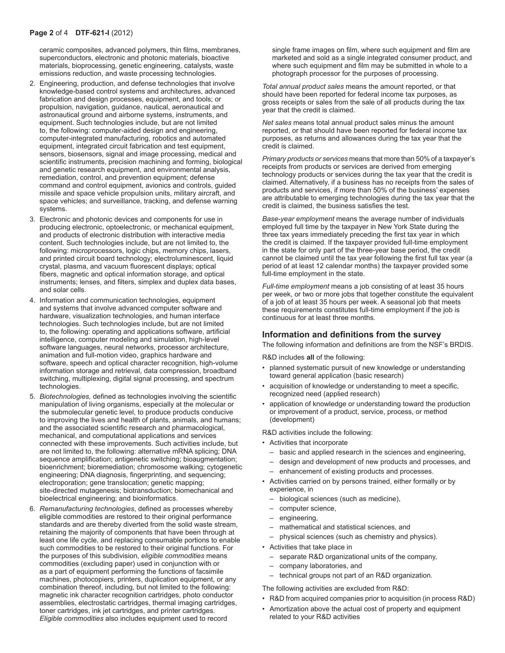ceramic composites, advanced polymers, thin films, membranes, superconductors, electronic and photonic materials, bioactive materials, bioprocessing, genetic engineering, catalysts, waste emissions reduction, and waste processing technologies.

- 2. Engineering, production, and defense technologies that involve knowledge-based control systems and architectures, advanced fabrication and design processes, equipment, and tools; or propulsion, navigation, guidance, nautical, aeronautical and astronautical ground and airborne systems, instruments, and equipment. Such technologies include, but are not limited to, the following: computer-aided design and engineering, computer-integrated manufacturing, robotics and automated equipment, integrated circuit fabrication and test equipment, sensors, biosensors, signal and image processing, medical and scientific instruments, precision machining and forming, biological and genetic research equipment, and environmental analysis, remediation, control, and prevention equipment; defense command and control equipment, avionics and controls, guided missile and space vehicle propulsion units, military aircraft, and space vehicles; and surveillance, tracking, and defense warning systems.
- 3. Electronic and photonic devices and components for use in producing electronic, optoelectronic, or mechanical equipment, and products of electronic distribution with interactive media content. Such technologies include, but are not limited to, the following: microprocessors, logic chips, memory chips, lasers, and printed circuit board technology; electroluminescent, liquid crystal, plasma, and vacuum fluorescent displays; optical fibers, magnetic and optical information storage, and optical instruments; lenses, and filters, simplex and duplex data bases, and solar cells.
- 4. Information and communication technologies, equipment and systems that involve advanced computer software and hardware, visualization technologies, and human interface technologies. Such technologies include, but are not limited to, the following: operating and applications software, artificial intelligence, computer modeling and simulation, high-level software languages, neural networks, processor architecture, animation and full-motion video, graphics hardware and software, speech and optical character recognition, high-volume information storage and retrieval, data compression, broadband switching, multiplexing, digital signal processing, and spectrum technologies.
- 5. *Biotechnologies,* defined as technologies involving the scientific manipulation of living organisms, especially at the molecular or the submolecular genetic level, to produce products conducive to improving the lives and health of plants, animals, and humans; and the associated scientific research and pharmacological, mechanical, and computational applications and services connected with these improvements. Such activities include, but are not limited to, the following: alternative mRNA splicing; DNA sequence amplification; antigenetic switching; bioaugmentation; bioenrichment; bioremediation; chromosome walking; cytogenetic engineering; DNA diagnosis, fingerprinting, and sequencing; electroporation; gene translocation; genetic mapping; site-directed mutagenesis; biotransduction; biomechanical and bioelectrical engineering; and bioinformatics.
- 6. *Remanufacturing technologies*, defined as processes whereby eligible commodities are restored to their original performance standards and are thereby diverted from the solid waste stream, retaining the majority of components that have been through at least one life cycle, and replacing consumable portions to enable such commodities to be restored to their original functions. For the purposes of this subdivision, *eligible commodities* means commodities (excluding paper) used in conjunction with or as a part of equipment performing the functions of facsimile machines, photocopiers, printers, duplication equipment, or any combination thereof, including, but not limited to the following: magnetic ink character recognition cartridges, photo conductor assemblies, electrostatic cartridges, thermal imaging cartridges, toner cartridges, ink jet cartridges, and printer cartridges. *Eligible commodities* also includes equipment used to record

single frame images on film, where such equipment and film are marketed and sold as a single integrated consumer product, and where such equipment and film may be submitted in whole to a photograph processor for the purposes of processing.

*Total annual product sales* means the amount reported, or that should have been reported for federal income tax purposes, as gross receipts or sales from the sale of all products during the tax year that the credit is claimed.

*Net sales* means total annual product sales minus the amount reported, or that should have been reported for federal income tax purposes, as returns and allowances during the tax year that the credit is claimed.

*Primary products or services* means that more than 50% of a taxpayer's receipts from products or services are derived from emerging technology products or services during the tax year that the credit is claimed. Alternatively, if a business has no receipts from the sales of products and services, if more than 50% of the business' expenses are attributable to emerging technologies during the tax year that the credit is claimed, the business satisfies the test.

*Base‑year employment* means the average number of individuals employed full time by the taxpayer in New York State during the three tax years immediately preceding the first tax year in which the credit is claimed. If the taxpayer provided full-time employment in the state for only part of the three-year base period, the credit cannot be claimed until the tax year following the first full tax year (a period of at least 12 calendar months) the taxpayer provided some full-time employment in the state.

*Full-time employment* means a job consisting of at least 35 hours per week, or two or more jobs that together constitute the equivalent of a job of at least 35 hours per week. A seasonal job that meets these requirements constitutes full-time employment if the job is continuous for at least three months.

## **Information and definitions from the survey**

The following information and definitions are from the NSF's BRDIS.

R&D includes **all** of the following:

- planned systematic pursuit of new knowledge or understanding toward general application (basic research)
- acquisition of knowledge or understanding to meet a specific, recognized need (applied research)
- application of knowledge or understanding toward the production or improvement of a product, service, process, or method (development)

R&D activities include the following:

- Activities that incorporate
	- basic and applied research in the sciences and engineering,
	- design and development of new products and processes, and
	- enhancement of existing products and processes.
- Activities carried on by persons trained, either formally or by experience, in
	- biological sciences (such as medicine),
	- computer science,
	- engineering,
	- mathematical and statistical sciences, and
	- physical sciences (such as chemistry and physics).
- Activities that take place in
	- separate R&D organizational units of the company,
	- company laboratories, and
	- technical groups not part of an R&D organization.

The following activities are excluded from R&D:

- R&D from acquired companies prior to acquisition (in process R&D)
- Amortization above the actual cost of property and equipment related to your R&D activities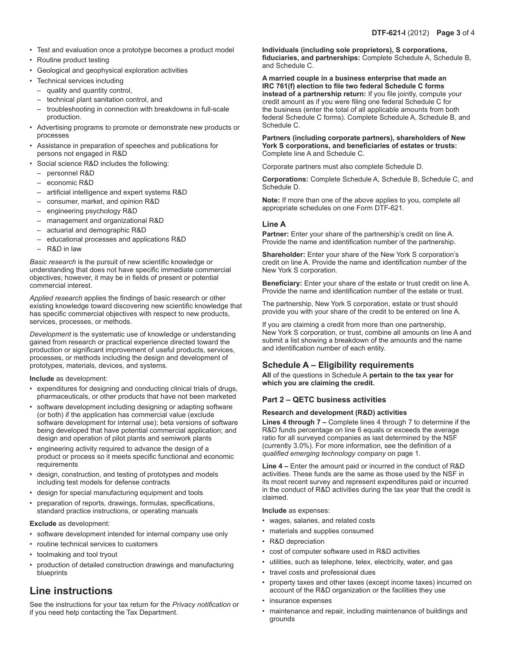- Test and evaluation once a prototype becomes a product model
- Routine product testing
- Geological and geophysical exploration activities
- Technical services including
	- quality and quantity control,
	- technical plant sanitation control, and
	- troubleshooting in connection with breakdowns in full-scale production.
- Advertising programs to promote or demonstrate new products or processes
- Assistance in preparation of speeches and publications for persons not engaged in R&D
- Social science R&D includes the following:
	- personnel R&D
	- economic R&D
	- artificial intelligence and expert systems R&D
	- consumer, market, and opinion R&D
	- engineering psychology R&D
	- management and organizational R&D
	- actuarial and demographic R&D
	- educational processes and applications R&D
	- R&D in law

*Basic research* is the pursuit of new scientific knowledge or understanding that does not have specific immediate commercial objectives; however, it may be in fields of present or potential commercial interest.

*Applied research* applies the findings of basic research or other existing knowledge toward discovering new scientific knowledge that has specific commercial objectives with respect to new products, services, processes, or methods.

*Development* is the systematic use of knowledge or understanding gained from research or practical experience directed toward the production or significant improvement of useful products, services, processes, or methods including the design and development of prototypes, materials, devices, and systems.

#### **Include** as development:

- expenditures for designing and conducting clinical trials of drugs, pharmaceuticals, or other products that have not been marketed
- software development including designing or adapting software (or both) if the application has commercial value (exclude software development for internal use); beta versions of software being developed that have potential commercial application; and design and operation of pilot plants and semiwork plants
- engineering activity required to advance the design of a product or process so it meets specific functional and economic requirements
- design, construction, and testing of prototypes and models including test models for defense contracts
- design for special manufacturing equipment and tools
- preparation of reports, drawings, formulas, specifications, standard practice instructions, or operating manuals

#### **Exclude** as development:

- software development intended for internal company use only
- routine technical services to customers
- toolmaking and tool tryout
- production of detailed construction drawings and manufacturing blueprints

# **Line instructions**

See the instructions for your tax return for the *Privacy notification* or if you need help contacting the Tax Department.

**Individuals (including sole proprietors), S corporations, fiduciaries, and partnerships:** Complete Schedule A, Schedule B, and Schedule C.

**A married couple in a business enterprise that made an IRC 761(f) election to file two federal Schedule C forms instead of a partnership return:** If you file jointly, compute your credit amount as if you were filing one federal Schedule C for the business (enter the total of all applicable amounts from both federal Schedule C forms). Complete Schedule A, Schedule B, and Schedule C.

#### **Partners (including corporate partners), shareholders of New York S corporations, and beneficiaries of estates or trusts:**  Complete line A and Schedule C.

Corporate partners must also complete Schedule D.

**Corporations:** Complete Schedule A, Schedule B, Schedule C, and Schedule D.

**Note:** If more than one of the above applies to you, complete all appropriate schedules on one Form DTF-621.

## **Line A**

**Partner:** Enter your share of the partnership's credit on line A. Provide the name and identification number of the partnership.

**Shareholder:** Enter your share of the New York S corporation's credit on line A. Provide the name and identification number of the New York S corporation.

**Beneficiary:** Enter your share of the estate or trust credit on line A. Provide the name and identification number of the estate or trust.

The partnership, New York S corporation, estate or trust should provide you with your share of the credit to be entered on line A.

If you are claiming a credit from more than one partnership, New York S corporation, or trust, combine all amounts on line A and submit a list showing a breakdown of the amounts and the name and identification number of each entity.

# **Schedule A – Eligibility requirements**

**All** of the questions in Schedule A **pertain to the tax year for which you are claiming the credit.**

## **Part 2 – QETC business activities**

#### **Research and development (R&D) activities**

**Lines 4 through 7 –** Complete lines 4 through 7 to determine if the R&D funds percentage on line 6 equals or exceeds the average ratio for all surveyed companies as last determined by the NSF (currently 3.0%). For more information, see the definition of a *qualified emerging technology company* on page 1.

**Line 4 –** Enter the amount paid or incurred in the conduct of R&D activities. These funds are the same as those used by the NSF in its most recent survey and represent expenditures paid or incurred in the conduct of R&D activities during the tax year that the credit is claimed.

**Include** as expenses:

- wages, salaries, and related costs
- materials and supplies consumed
- R&D depreciation
- cost of computer software used in R&D activities
- utilities, such as telephone, telex, electricity, water, and gas
- travel costs and professional dues
- property taxes and other taxes (except income taxes) incurred on account of the R&D organization or the facilities they use
- insurance expenses
- maintenance and repair, including maintenance of buildings and grounds